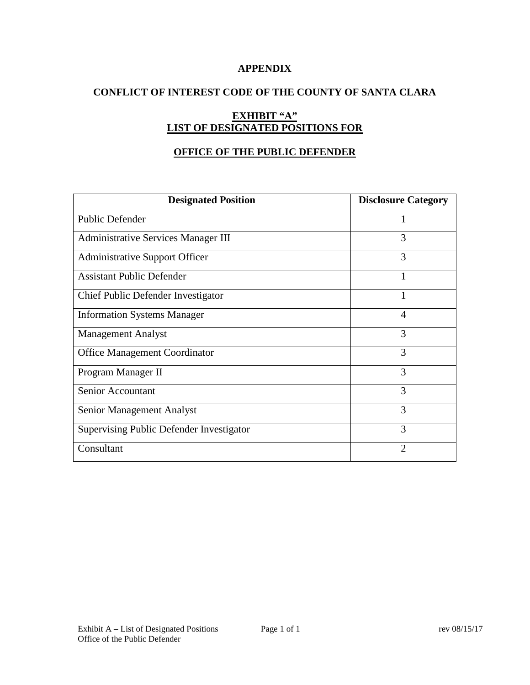### **APPENDIX**

## **CONFLICT OF INTEREST CODE OF THE COUNTY OF SANTA CLARA**

# **EXHIBIT "A" LIST OF DESIGNATED POSITIONS FOR**

### **OFFICE OF THE PUBLIC DEFENDER**

| <b>Designated Position</b>                 | <b>Disclosure Category</b> |
|--------------------------------------------|----------------------------|
| <b>Public Defender</b>                     |                            |
| <b>Administrative Services Manager III</b> | 3                          |
| <b>Administrative Support Officer</b>      | 3                          |
| <b>Assistant Public Defender</b>           |                            |
| Chief Public Defender Investigator         | 1                          |
| <b>Information Systems Manager</b>         | 4                          |
| <b>Management Analyst</b>                  | 3                          |
| <b>Office Management Coordinator</b>       | 3                          |
| Program Manager II                         | 3                          |
| Senior Accountant                          | 3                          |
| Senior Management Analyst                  | 3                          |
| Supervising Public Defender Investigator   | 3                          |
| Consultant                                 | $\overline{2}$             |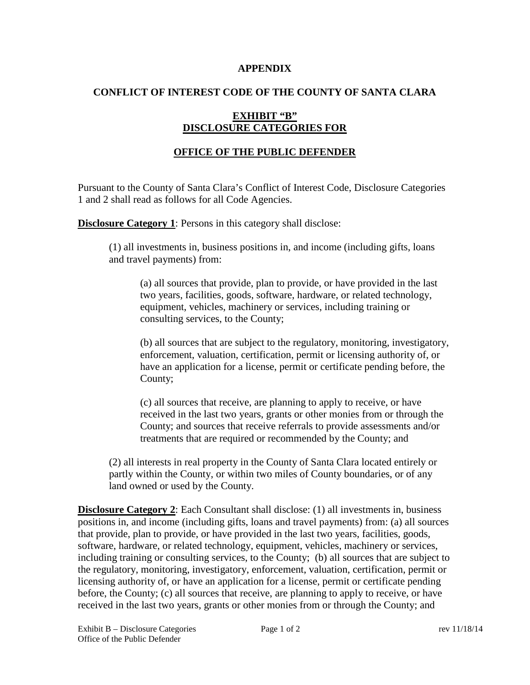#### **APPENDIX**

### **CONFLICT OF INTEREST CODE OF THE COUNTY OF SANTA CLARA**

## **EXHIBIT "B" DISCLOSURE CATEGORIES FOR**

## **OFFICE OF THE PUBLIC DEFENDER**

Pursuant to the County of Santa Clara's Conflict of Interest Code, Disclosure Categories 1 and 2 shall read as follows for all Code Agencies.

**Disclosure Category 1:** Persons in this category shall disclose:

(1) all investments in, business positions in, and income (including gifts, loans and travel payments) from:

(a) all sources that provide, plan to provide, or have provided in the last two years, facilities, goods, software, hardware, or related technology, equipment, vehicles, machinery or services, including training or consulting services, to the County;

(b) all sources that are subject to the regulatory, monitoring, investigatory, enforcement, valuation, certification, permit or licensing authority of, or have an application for a license, permit or certificate pending before, the County;

(c) all sources that receive, are planning to apply to receive, or have received in the last two years, grants or other monies from or through the County; and sources that receive referrals to provide assessments and/or treatments that are required or recommended by the County; and

(2) all interests in real property in the County of Santa Clara located entirely or partly within the County, or within two miles of County boundaries, or of any land owned or used by the County.

**Disclosure Category 2:** Each Consultant shall disclose: (1) all investments in, business positions in, and income (including gifts, loans and travel payments) from: (a) all sources that provide, plan to provide, or have provided in the last two years, facilities, goods, software, hardware, or related technology, equipment, vehicles, machinery or services, including training or consulting services, to the County; (b) all sources that are subject to the regulatory, monitoring, investigatory, enforcement, valuation, certification, permit or licensing authority of, or have an application for a license, permit or certificate pending before, the County; (c) all sources that receive, are planning to apply to receive, or have received in the last two years, grants or other monies from or through the County; and